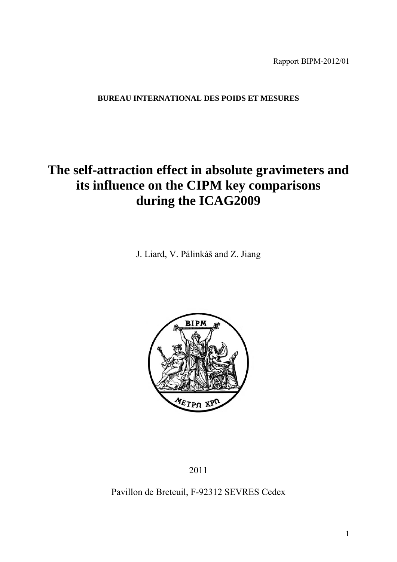Rapport BIPM-2012/01

## **BUREAU INTERNATIONAL DES POIDS ET MESURES**

# **The self-attraction effect in absolute gravimeters and its influence on the CIPM key comparisons during the ICAG2009**

J. Liard, V. Pálinkáš and Z. Jiang



2011

## Pavillon de Breteuil, F-92312 SEVRES Cedex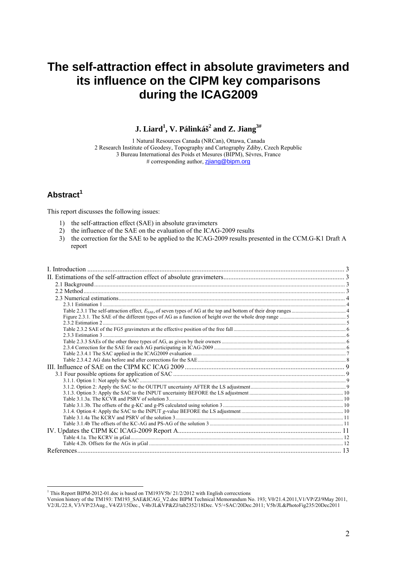# **The self-attraction effect in absolute gravimeters and its influence on the CIPM key comparisons during the ICAG2009**

 $\,$  **J.** Liard<sup>1</sup>, V. Pálinkáš $^2$  and Z. Jiang $^{3\#}$ 

1 Natural Resources Canada (NRCan), Ottawa, Canada 2 Research Institute of Geodesy, Topography and Cartography Zdiby, Czech Republic 3 Bureau International des Poids et Mesures (BIPM), Sèvres, France # corresponding author, zjiang@bipm.org

## **Abstract<sup>1</sup>**

This report discusses the following issues:

- 1) the self-attraction effect (SAE) in absolute gravimeters
- 2) the influence of the SAE on the evaluation of the ICAG-2009 results
- 3) the correction for the SAE to be applied to the ICAG-2009 results presented in the CCM.G-K1 Draft A report

 1 This Report BIPM-2012-01.doc is based on TM193V5b/ 21/2/2012 with English correcxtions

Version history of the TM193: TM193\_SAE&ICAG\_V2.doc BIPM Technical Memorandum No. 193; V0/21.4.2011,V1/VP/ZJ/9May 2011, V2/JL/22.8, V3/VP/23Aug., V4/ZJ/15Dec., V4b/JL&VP&ZJ/tab2352/18Dec. V5/+SAC/20Dec.2011; V5b/JL&PhotoFig235/20Dec2011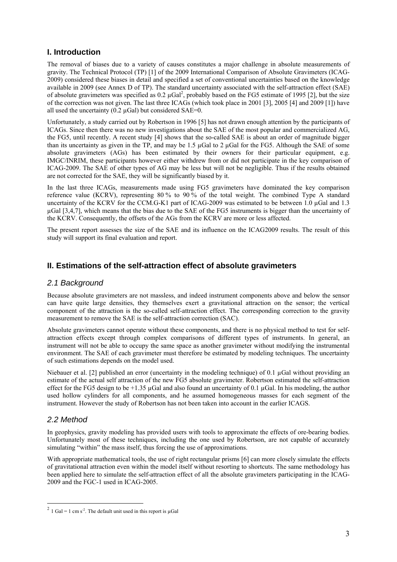## **I. Introduction**

The removal of biases due to a variety of causes constitutes a major challenge in absolute measurements of gravity. The Technical Protocol (TP) [1] of the 2009 International Comparison of Absolute Gravimeters (ICAG-2009) considered these biases in detail and specified a set of conventional uncertainties based on the knowledge available in 2009 (see Annex D of TP). The standard uncertainty associated with the self-attraction effect (SAE) of absolute gravimeters was specified as  $0.2 \mu Gal^2$ , probably based on the FG5 estimate of 1995 [2], but the size of the correction was not given. The last three ICAGs (which took place in 2001 [3], 2005 [4] and 2009 [1]) have all used the uncertainty (0.2 µGal) but considered SAE=0.

Unfortunately, a study carried out by Robertson in 1996 [5] has not drawn enough attention by the participants of ICAGs. Since then there was no new investigations about the SAE of the most popular and commercialized AG, the FG5, until recently. A recent study [4] shows that the so-called SAE is about an order of magnitude bigger than its uncertainty as given in the TP, and may be 1.5 µGal to 2 µGal for the FG5. Although the SAE of some absolute gravimeters (AGs) has been estimated by their owners for their particular equipment, e.g. IMGC/INRIM, these participants however either withdrew from or did not participate in the key comparison of ICAG-2009. The SAE of other types of AG may be less but will not be negligible. Thus if the results obtained are not corrected for the SAE, they will be significantly biased by it.

In the last three ICAGs, measurements made using FG5 gravimeters have dominated the key comparison reference value (KCRV), representing 80 % to 90 % of the total weight. The combined Type A standard uncertainty of the KCRV for the CCM.G-K1 part of ICAG-2009 was estimated to be between 1.0 µGal and 1.3 µGal [3,4,7], which means that the bias due to the SAE of the FG5 instruments is bigger than the uncertainty of the KCRV. Consequently, the offsets of the AGs from the KCRV are more or less affected.

The present report assesses the size of the SAE and its influence on the ICAG2009 results. The result of this study will support its final evaluation and report.

## **II. Estimations of the self-attraction effect of absolute gravimeters**

## *2.1 Background*

Because absolute gravimeters are not massless, and indeed instrument components above and below the sensor can have quite large densities, they themselves exert a gravitational attraction on the sensor; the vertical component of the attraction is the so-called self-attraction effect. The corresponding correction to the gravity measurement to remove the SAE is the self-attraction correction (SAC).

Absolute gravimeters cannot operate without these components, and there is no physical method to test for selfattraction effects except through complex comparisons of different types of instruments. In general, an instrument will not be able to occupy the same space as another gravimeter without modifying the instrumental environment. The SAE of each gravimeter must therefore be estimated by modeling techniques. The uncertainty of such estimations depends on the model used.

Niebauer et al. [2] published an error (uncertainty in the modeling technique) of 0.1 µGal without providing an estimate of the actual self attraction of the new FG5 absolute gravimeter. Robertson estimated the self-attraction effect for the FG5 design to be  $+1.35 \text{ uGal}$  and also found an uncertainty of 0.1  $\mu$ Gal. In his modeling, the author used hollow cylinders for all components, and he assumed homogeneous masses for each segment of the instrument. However the study of Robertson has not been taken into account in the earlier ICAGS.

### *2.2 Method*

1

In geophysics, gravity modeling has provided users with tools to approximate the effects of ore-bearing bodies. Unfortunately most of these techniques, including the one used by Robertson, are not capable of accurately simulating "within" the mass itself, thus forcing the use of approximations.

With appropriate mathematical tools, the use of right rectangular prisms [6] can more closely simulate the effects of gravitational attraction even within the model itself without resorting to shortcuts. The same methodology has been applied here to simulate the self-attraction effect of all the absolute gravimeters participating in the ICAG-2009 and the FGC-1 used in ICAG-2005.

<sup>&</sup>lt;sup>2</sup> 1 Gal = 1 cm s<sup>-2</sup>. The default unit used in this report is  $\mu$ Gal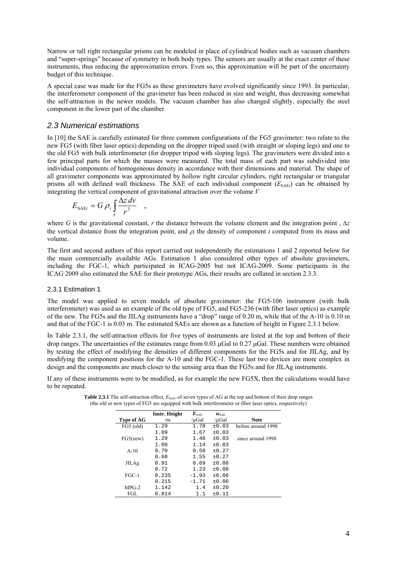Narrow or tall right rectangular prisms can be modeled in place of cylindrical bodies such as vacuum chambers and "super-springs" because of symmetry in both body types. The sensors are usually at the exact center of these instruments, thus reducing the approximation errors. Even so, this approximation will be part of the uncertainty budget of this technique.

A special case was made for the FG5s as these gravimeters have evolved significantly since 1993. In particular, the interferometer component of the gravimeter has been reduced in size and weight, thus decreasing somewhat the self-attraction in the newer models. The vacuum chamber has also changed slightly, especially the steel component in the lower part of the chamber.

#### *2.3 Numerical estimations*

In [10] the SAE is carefully estimated for three common configurations of the FG5 gravimeter: two relate to the new FG5 (with fiber laser optics) depending on the dropper tripod used (with straight or sloping legs) and one to the old FG5 with bulk interferometer (for dropper tripod with sloping legs). The gravimeters were divided into a few principal parts for which the masses were measured. The total mass of each part was subdivided into individual components of homogeneous density in accordance with their dimensions and material. The shape of all gravimeter components was approximated by hollow right circular cylinders, right rectangular or triangular prisms all with defined wall thickness. The SAE of each individual component  $(E_{SAEi})$  can be obtained by integrating the vertical component of gravitational attraction over the volume *V*

$$
E_{\text{SAE}i} = G \rho_i \int\limits_V \frac{\Delta z \, dv}{r^3} \quad ,
$$

where *G* is the gravitational constant, *r* the distance between the volume element and the integration point,  $\Delta z$ the vertical distance from the integration point, and  $\rho_i$  the density of component *i* computed from its mass and volume.

The first and second authors of this report carried out independently the estimations 1 and 2 reported below for the main commercially available AGs. Estimation 1 also considered other types of absolute gravimeters, including the FGC-1, which participated in ICAG-2005 but not ICAG-2009. Some participants in the ICAG 2009 also estimated the SAE for their prototype AGs, their results are collated in section 2.3.3.

#### 2.3.1 Estimation 1

The model was applied to seven models of absolute gravimeter: the FG5-106 instrument (with bulk interferometer) was used as an example of the old type of FG5, and FG5-236 (with fiber laser optics) as example of the new. The FG5s and the JILAg instruments have a "drop" range of 0.20 m, while that of the A-10 is 0.10 m and that of the FGC-1 is 0.03 m. The estimated SAEs are shown as a function of height in Figure 2.3.1 below.

In Table 2.3.1, the self-attraction effects for five types of instruments are listed at the top and bottom of their drop ranges. The uncertainties of the estimates range from 0.03  $\mu$ Gal to 0.27  $\mu$ Gal. These numbers were obtained by testing the effect of modifying the densities of different components for the FG5s and for JILAg, and by modifying the component positions for the A-10 and the FGC-1. These last two devices are more complex in design and the components are much closer to the sensing area than the FG5s and for JILAg instruments.

If any of these instruments were to be modified, as for example the new FG5X, then the calculations would have to be repeated.

|              | <b>Instr. Height</b> | $\boldsymbol{E}_{\text{SAE}}$ | $u_{\text{SAE}}$ |                    |
|--------------|----------------------|-------------------------------|------------------|--------------------|
| Type of AG   | /m                   | /µGal                         | /µGal            | <b>Note</b>        |
| $FG5$ (old)  | 1.29                 | 1.78                          | ±0.03            | before around 1998 |
|              | 1.09                 | 1.67                          | ±0.03            |                    |
| FG5(new)     | 1.29                 | 1.48                          | ±0.03            | since around 1998  |
|              | 1.09                 | 1.14                          | ±0.03            |                    |
| $A-10$       | 0.70                 | 0.58                          | ±0.27            |                    |
|              | 0.60                 | 1.55                          | ±0.27            |                    |
| <b>JILAg</b> | 0.91                 | 0.69                          | ±0.08            |                    |
|              | 0.72                 | 1.23                          | ±0.08            |                    |
| $FGC-1$      | 0.235                | $-1.93$                       | ±0.06            |                    |
|              | 0.215                | $-1.71$                       | ±0.06            |                    |
| $MPG-2$      | 1.142                | 1.4                           | ±0.20            |                    |
| FGL          | 0.814                | 1.1                           | ±0.11            |                    |

| <b>Table 2.3.1</b> The self-attraction effect, $E_{\text{SAE}}$ , of seven types of AG at the top and bottom of their drop ranges |
|-----------------------------------------------------------------------------------------------------------------------------------|
| (the old or new types of FG5 are equipped with bulk interferometer or fiber laser optics, respectively)                           |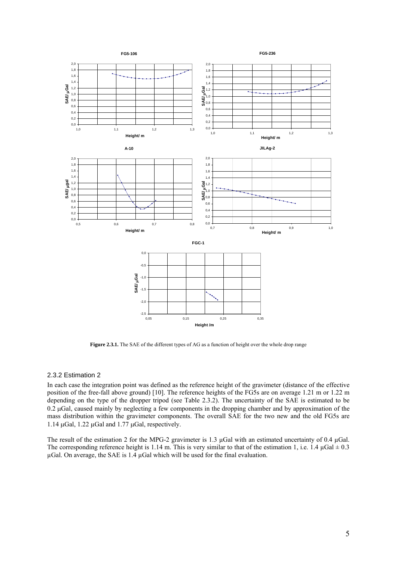

**Figure 2.3.1.** The SAE of the different types of AG as a function of height over the whole drop range

#### 2.3.2 Estimation 2

In each case the integration point was defined as the reference height of the gravimeter (distance of the effective position of the free-fall above ground) [10]. The reference heights of the FG5s are on average 1.21 m or 1.22 m depending on the type of the dropper tripod (see Table 2.3.2). The uncertainty of the SAE is estimated to be  $0.2 \mu$ Gal, caused mainly by neglecting a few components in the dropping chamber and by approximation of the mass distribution within the gravimeter components. The overall SAE for the two new and the old FG5s are 1.14  $\mu$ Gal, 1.22  $\mu$ Gal and 1.77  $\mu$ Gal, respectively.

The result of the estimation 2 for the MPG-2 gravimeter is 1.3  $\mu$ Gal with an estimated uncertainty of 0.4  $\mu$ Gal. The corresponding reference height is 1.14 m. This is very similar to that of the estimation 1, i.e. 1.4  $\mu$ Gal  $\pm$  0.3  $\mu$ Gal. On average, the SAE is 1.4  $\mu$ Gal which will be used for the final evaluation.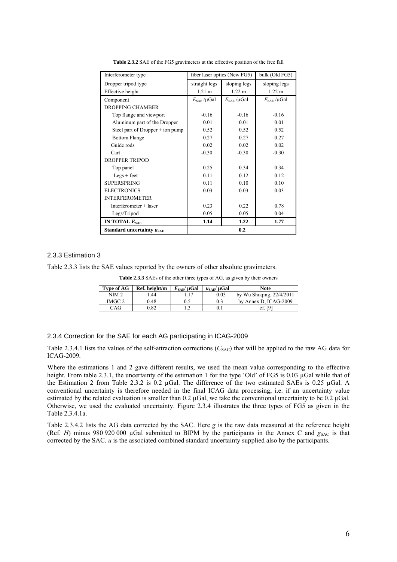| Interferometer type                | fiber laser optics (New FG5)    | bulk (Old FG5)                  |                                 |
|------------------------------------|---------------------------------|---------------------------------|---------------------------------|
| Dropper tripod type                | straight legs                   | sloping legs                    | sloping legs                    |
| Effective height                   | $1.21 \text{ m}$                | 1.22 m                          | $1.22 \text{ m}$                |
| Component                          | $E_{\text{SAE}}/\mu \text{Gal}$ | $E_{\text{SAE}}/\mu \text{Gal}$ | $E_{\text{SAE}}/\mu \text{Gal}$ |
| <b>DROPPING CHAMBER</b>            |                                 |                                 |                                 |
| Top flange and viewport            | $-0.16$                         | $-0.16$                         | $-0.16$                         |
| Aluminum part of the Dropper       | 0.01                            | 0.01                            | 0.01                            |
| Steel part of Dropper $+$ ion pump | 0.52                            | 0.52                            | 0.52                            |
| <b>Bottom Flange</b>               | 0.27                            | 0.27                            | 0.27                            |
| Guide rods                         | 0.02                            | 0.02                            | 0.02                            |
| Cart                               | $-0.30$                         | $-0.30$                         | $-0.30$                         |
| <b>DROPPER TRIPOD</b>              |                                 |                                 |                                 |
| Top panel                          | 0.25                            | 0.34                            | 0.34                            |
| $Legs + feet$                      | 0.11                            | 0.12                            | 0.12                            |
| <b>SUPERSPRING</b>                 | 0.11                            | 0.10                            | 0.10                            |
| <b>ELECTRONICS</b>                 | 0.03                            | 0.03                            | 0.03                            |
| <b>INTERFEROMETER</b>              |                                 |                                 |                                 |
| Interferometer + laser             | 0.23                            | 0.22                            | 0.78                            |
| Legs/Tripod                        | 0.05                            | 0.05                            | 0.04                            |
| IN TOTAL $E_{\text{SAE}}$          | 1.14                            | 1.22                            | 1.77                            |
| Standard uncertainty $u_{SAE}$     |                                 | 0.2                             |                                 |

**Table 2.3.2** SAE of the FG5 gravimeters at the effective position of the free fall

#### 2.3.3 Estimation 3

Table 2.3.3 lists the SAE values reported by the owners of other absolute gravimeters.

**Table 2.3.3** SAEs of the other three types of AG, as given by their owners

| Type of AG | Ref. height/m | $E_{SAF}/\mu Gal$ | $u_{\text{SAF}}/ \mu \text{Gal}$ | <b>Note</b>                |
|------------|---------------|-------------------|----------------------------------|----------------------------|
| NIM 2      | .44           |                   | 0.03                             | by Wu Shuging, $22/4/2011$ |
| IMGC 2     | 0.48          | 0.5               | 0.3                              | by Annex D. ICAG-2009      |
| CAG        | $_{0.82}$     |                   |                                  | cf.                        |

#### 2.3.4 Correction for the SAE for each AG participating in ICAG-2009

Table 2.3.4.1 lists the values of the self-attraction corrections  $(C<sub>SAC</sub>)$  that will be applied to the raw AG data for ICAG-2009.

Where the estimations 1 and 2 gave different results, we used the mean value corresponding to the effective height. From table 2.3.1, the uncertainty of the estimation 1 for the type 'Old' of FG5 is 0.03 µGal while that of the Estimation 2 from Table 2.3.2 is 0.2 µGal. The difference of the two estimated SAEs is 0.25 µGal. A conventional uncertainty is therefore needed in the final ICAG data processing, i.e. if an uncertainty value estimated by the related evaluation is smaller than 0.2  $\mu$ Gal, we take the conventional uncertainty to be 0.2  $\mu$ Gal. Otherwise, we used the evaluated uncertainty. Figure 2.3.4 illustrates the three types of FG5 as given in the Table 2.3.4.1a.

Table 2.3.4.2 lists the AG data corrected by the SAC. Here *g* is the raw data measured at the reference height (Ref.  $H$ ) minus 980 920 000  $\mu$ Gal submitted to BIPM by the participants in the Annex C and  $g_{SAC}$  is that corrected by the SAC. *u* is the associated combined standard uncertainty supplied also by the participants.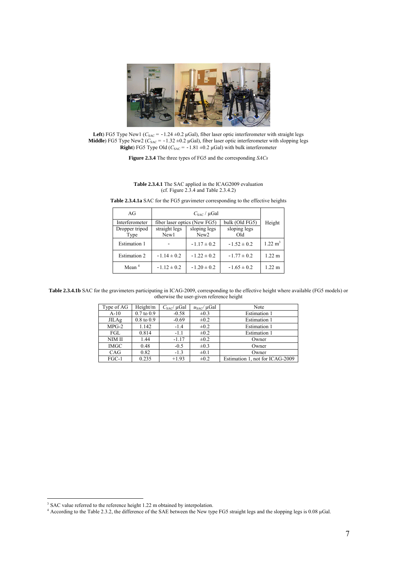

Left) FG5 Type New1 ( $C_{SAC}$  = -1.24  $\pm$ 0.2 µGal), fiber laser optic interferometer with straight legs **Middle**) FG5 Type New2 ( $C_{\text{SAC}} = -1.32 \pm 0.2 \mu$ Gal), fiber laser optic interferometer with slopping legs **Right**) FG5 Type Old ( $C_{SAC} = -1.81 \pm 0.2 \mu$ Gal) with bulk interferometer

**Figure 2.3.4** The three types of FG5 and the corresponding *SACs*

**Table 2.3.4.1** The SAC applied in the ICAG2009 evaluation (cf. Figure 2.3.4 and Table 2.3.4.2)

| AGr                    |                       |                                  |                     |                    |
|------------------------|-----------------------|----------------------------------|---------------------|--------------------|
| Interferometer         |                       | fiber laser optics (New FG5)     | bulk (Old FG5)      | Height             |
| Dropper tripod<br>Type | straight legs<br>New1 | sloping legs<br>New <sub>2</sub> | sloping legs<br>Old |                    |
| <b>Estimation 1</b>    |                       | $-1.17 \pm 0.2$                  | $-1.52 \pm 0.2$     | $1.22 \text{ m}^3$ |
| <b>Estimation 2</b>    | $-1.14 \pm 0.2$       | $-1.22 \pm 0.2$                  | $-1.77 \pm 0.2$     | $1.22 \text{ m}$   |
| Mean $4$               | $-1.12 \pm 0.2$       | $-1.20 \pm 0.2$                  | $-1.65 \pm 0.2$     | $1.22 \text{ m}$   |

**Table 2.3.4.1a** SAC for the FG5 gravimeter corresponding to the effective heights

Table 2.3.4.1b SAC for the gravimeters participating in ICAG-2009, corresponding to the effective height where available (FG5 models) or otherwise the user-given reference height

| Type of AG   | Height/m       | $C_{\text{SAC}}/\mu \text{Gal}$ | $u_{\text{SAC}}/ \mu \text{Gal}$ | Note                            |
|--------------|----------------|---------------------------------|----------------------------------|---------------------------------|
| $A-10$       | $0.7$ to $0.9$ | $-0.58$                         | $\pm 0.3$                        | <b>Estimation 1</b>             |
| <b>JILAg</b> | $0.8$ to $0.9$ | $-0.69$                         | $\pm 0.2$                        | Estimation 1                    |
| $MPG-2$      | 1.142          | $-1.4$                          | $\pm 0.2$                        | Estimation 1                    |
| FGL          | 0.814          | $-1.1$                          | $\pm 0.2$                        | <b>Estimation 1</b>             |
| NIM II       | 1.44           | $-1.17$                         | $\pm 0.2$                        | Owner                           |
| <b>IMGC</b>  | 0.48           | $-0.5$                          | $\pm 0.3$                        | Owner                           |
| CAG          | 0.82           | $-1.3$                          | $\pm 0.1$                        | Owner                           |
| $FGC-1$      | 0.235          | $+1.93$                         | $\pm 0.2$                        | Estimation 1, not for ICAG-2009 |

<sup>&</sup>lt;sup>3</sup> SAC value referred to the reference height 1.22 m obtained by interpolation.<br><sup>4</sup> According to the Table 2.3.2, the difference of the SAE between the New type FG5 straight legs and the slopping legs is 0.08 µGal.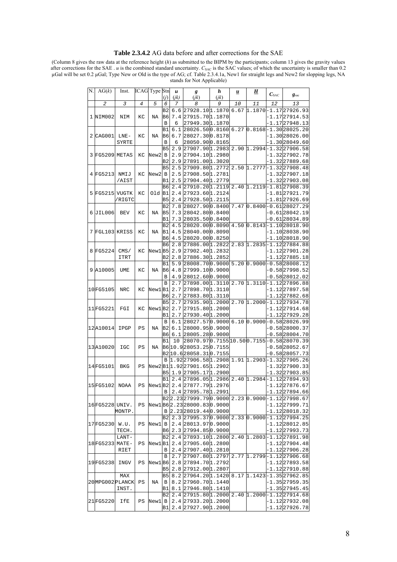#### **Table 2.3.4.2** AG data before and after corrections for the SAE

(Column 8 gives the raw data at the reference height (*h*) as submitted to the BIPM by the participants; column 13 gives the gravity values after corrections for the SAE . *u* is the combined standard uncertainty. *C*<sub>SAC</sub> is the SAC values; of which the uncertainty is smaller than 0.2 µGal will be set 0.2 µGal; Type New or Old is the type of AG; cf. Table 2.3.4.1a, New1 for straight legs and New2 for slopping legs, NA stands for Not Applicable)

| N. | AG(k)           | Inst.       |    | <b>ICAG</b> Type Stn | (j)      | u<br>(jk) | g<br>(jk)                                                               | h<br>(ik) | $\overline{\mathbf{u}}$ | <u>Н</u> | $C_{\text{SAC}}$ | $g_{\rm sac}$                                   |
|----|-----------------|-------------|----|----------------------|----------|-----------|-------------------------------------------------------------------------|-----------|-------------------------|----------|------------------|-------------------------------------------------|
|    | 2               | 3           | 4  | 5                    | 6        | 7         | 8                                                                       | 9         | 10                      | 11       | 12               | 13                                              |
|    |                 |             |    |                      | Β2       |           | 6.6 27928.10 1.1870                                                     |           |                         |          |                  | 6.67 1.1870 - 1.17 27926.93                     |
|    | 1 NIM002        | NIM         | КC | ΝA                   | B6       |           | 7.4 27915.70 1.1870                                                     |           |                         |          |                  | -1.1727914.53                                   |
|    |                 |             |    |                      | B        | 6         | 27949.301.1870                                                          |           |                         |          |                  | 1.1727948.13-                                   |
|    |                 |             |    |                      | в1       | 6.1       | 28026.500.8160                                                          |           |                         |          |                  | $6.27$ 0.8168-1.3028025.20                      |
| 2  | CAG001          | LNE-        | КC | ΝA                   | B6       |           | $6.7$ 28027.300.8178                                                    |           |                         |          |                  | -1.3028026.00                                   |
|    |                 | SYRTE       |    |                      | B        | 6         | 28050.900.8165                                                          |           |                         |          |                  | -1.3028049.60                                   |
|    |                 |             |    |                      | В5       | 2.9       | 27907.901.2983                                                          |           |                         |          |                  | 2.90 1.2994 - 1.32 27906.58                     |
|    | 3 FG5209 METAS  |             | КC | New2                 | В        |           | 2.9 27904.10 1.2980                                                     |           |                         |          |                  | $-1.32$ 27902.78                                |
|    |                 |             |    |                      | Β2       |           | 2.9 27891.00 1.3020                                                     |           |                         |          |                  | -1.3227889.68                                   |
|    |                 |             |    |                      | B5       |           | 2.5 27909.80 1.2772                                                     |           |                         |          |                  | 2.50 1.2777 - 1.32 27908.48                     |
|    | 4 FG5213        | NMIJ        | КC | New2                 | В        |           | 2.5 27908.50 1.2781                                                     |           |                         |          |                  | -1.3227907.18                                   |
|    |                 | /AIST       |    |                      | Β1<br>В6 |           | 2.5 27904.40 1.2779<br>2.4 27910.20 1.2119                              |           |                         |          |                  | $-1.32$ 27903.08<br>2.40 1.2119 - 1.81 27908.39 |
| 5  | FG5215          | VUGTK       | КC | Old B1               |          |           | 2.4 27923.60 1.2124                                                     |           |                         |          |                  | -1.8127921.79                                   |
|    |                 | /RIGTC      |    |                      | В5       |           | 2.4 27928.50 1.2115                                                     |           |                         |          |                  | -1.8127926.69                                   |
|    |                 |             |    |                      | Β2       |           | 7.8 28027.900.8400 7.47 0.8400 - 0.61 28027.29                          |           |                         |          |                  |                                                 |
| 6  | JIL006          | BEV         | КC | ΝA                   | B5       |           | 7.3 28042.800.8400                                                      |           |                         |          |                  | -0.6128042.19                                   |
|    |                 |             |    |                      | Β1       |           | 7.3 28035.500.8400                                                      |           |                         |          |                  | -0.6128034.89                                   |
|    |                 |             |    |                      | Β2       |           | 4.5 28020.000.8090                                                      |           |                         |          |                  | $4.50$ $0.8143 - 1.1028018.90$                  |
|    | 7 FGL103 KRISS  |             | КC | ΝA                   | В1       |           | 4.5 28040.000.8090                                                      |           |                         |          |                  | -1.1028038.90                                   |
|    |                 |             |    |                      | В6       |           | 4.5 28020.000.8250                                                      |           |                         |          |                  | 1.1028018.90-                                   |
|    |                 |             |    |                      | B6       | 2.8       | 27886.00 1.2822                                                         |           |                         |          |                  | 2.83 1.2835 - 1.12 27884.88                     |
|    | 8 FG5224        | CMS/        | КC | New1B5               |          |           | 2.9 27902.40 1.2832                                                     |           |                         |          |                  | -1.1227901.28                                   |
|    |                 | ITRT        |    |                      | Β2       |           | 2.8 27886.30 1.2852                                                     |           |                         |          |                  | -1.1227885.18                                   |
|    |                 |             |    |                      | Β1       |           | 5.9 28008.700.9000                                                      |           |                         |          |                  | $5.20$ $0.9000 - 0.5828008.12$                  |
|    | 9 A10005        | UME         | КC | ΝA                   | B6       |           | 4.8 27999.100.9000                                                      |           |                         |          |                  | -0.5827998.52                                   |
|    |                 |             |    |                      | В        |           | 4.9 28012.600.9000                                                      |           |                         |          |                  | -0.5828012.02                                   |
|    |                 |             |    |                      | В        |           | 2.7 27898.00 1.3110                                                     |           |                         |          |                  | 2.70 1.3110 - 1.12 27896.88                     |
|    | 10FG5105        | NRC         | КC | New1B1               | В6       |           | 2.7 27898.70 1.3110<br>2.7 27883.80 1.3110                              |           |                         |          |                  | -1.1227897.58<br>-1.1227882.68                  |
|    |                 |             |    |                      | В5       |           | 2.7 27935.90 1.2000                                                     |           |                         |          |                  | 2.70 1.2000 - 1.12 27934.78                     |
|    | 11FG5221        | FGI         | КC | New1B2               |          |           | 2.7 27915.80 1.2000                                                     |           |                         |          |                  | -1.12 27914.68                                  |
|    |                 |             |    |                      | Β1       |           | 2.7 27930.40 1.2000                                                     |           |                         |          |                  | -1.1227929.28                                   |
|    |                 |             |    |                      | В        |           | 6.1 28027.570.9000                                                      |           |                         |          |                  | 6.10 0.9000 - 0.58 28026.99                     |
|    | 12A10014        | IPGP        | ΡS | ΝA                   | В2       |           | $6.1$ 28000.950.9000                                                    |           |                         |          |                  | $-0.58 28000.37$                                |
|    |                 |             |    |                      | В6       |           | $6.1$ 28005.280.9000                                                    |           |                         |          |                  | -0.5828004.70                                   |
|    |                 |             |    |                      | Β1       | 10        | 28070.970.715510.500.7155-0.5828070.39                                  |           |                         |          |                  |                                                 |
|    | 13A10020        | IGC         | PS | ΝA                   |          |           | B6 10.9 28053.25 0.7155                                                 |           |                         |          |                  | -0.5828052.67                                   |
|    |                 |             |    |                      |          |           | B2 10.6 28058.31 0.7155                                                 |           |                         |          |                  | -0.5828057.73                                   |
|    |                 |             |    |                      | B        |           | $ 1.92 27906.58 1.2908 1.91 1.2903 -1.32 27905.26$                      |           |                         |          |                  |                                                 |
|    | 14FG5101        | BKG         | PS |                      |          |           | New2 B1 1.92 27901.65 1.2902                                            |           |                         |          |                  | -1.3227900.33                                   |
|    |                 |             |    |                      | В5<br>B1 |           | $1.9$ 27905.171.2900<br>2.4 27896.05 1.2986 2.40 1.2984 - 1.12 27894.93 |           |                         |          |                  | -1.32 27903.85                                  |
|    | 15FG5102        | <b>NOAA</b> | PS |                      |          |           | New1B2 2.4 27877.79 1.2976                                              |           |                         |          |                  | $-1.12$ 27876.67                                |
|    |                 |             |    |                      | B        |           | 2.4 27895.78 1.2991                                                     |           |                         |          |                  | -1.1227894.66                                   |
|    |                 |             |    |                      |          |           | B2 2.23 27999.79 0.9000  2.23  0.9000 -1.12 27998.67                    |           |                         |          |                  |                                                 |
|    | 16 FG5228 UNIV. |             | ΡS |                      |          |           | New1B62.2328000.830.9000                                                |           |                         |          |                  | -1.1227999.71                                   |
|    |                 | MONTP.      |    |                      |          |           | B 2.2328019.440.9000                                                    |           |                         |          |                  | 1.1228018.32-                                   |
|    |                 |             |    |                      | B2I      |           | $2.3$ 27995.370.9000                                                    |           |                         |          |                  | $2.33$ $ 0.9000 $ -1.1227994.25                 |
|    | 17FG5230        | W.U.        | PS | New1                 | В        |           | 2.4 28013.970.9000                                                      |           |                         |          |                  | -1.1228012.85                                   |
|    |                 | TECH.       |    |                      | B6       |           | 2.3 27994.850.9000                                                      |           |                         |          |                  | -1.1227993.73                                   |
|    |                 | LANT-       |    |                      | В2       |           | 2.4 27893.10 1.2800 2.40 1.2803 - 1.12 27891.98                         |           |                         |          |                  |                                                 |
|    | 18 FG5233 MATE- |             | PS | New1B1               |          |           | 2.4 27905.60 1.2800                                                     |           |                         |          |                  | $-1.12$ 27904.48                                |
|    |                 | RIET        |    |                      | В        |           | 2.4 27907.40 1.2810                                                     |           |                         |          |                  | $-1.12$ 27906.28                                |
|    |                 |             |    |                      | B        |           | 2.7 27907.80 1.2797                                                     |           |                         |          |                  | 2.77 1.2799 - 1.12 27906.68                     |
|    | 19FG5238        | INGV        | PS |                      |          |           | New1 B6  2.8  27894.70 1.2792                                           |           |                         |          |                  | $-1.12$ 27893.58                                |
|    |                 |             |    |                      | В5       |           | 2.8 27912.00 1.2807                                                     |           |                         |          |                  | -1.1227910.88                                   |
|    |                 | MAX         |    |                      | В5       |           | 8.2 27964.20 1.1420                                                     |           |                         |          |                  | 8.17 1.1423 - 1.35 27962.85                     |
|    | 20MPG002PLANCK  | INST.       | ΡS | ΝA                   | В<br>B1  |           | 8.2 27960.70 1.1440<br>8.1 27946.80 1.1410                              |           |                         |          |                  | -1.3527959.35<br>-1.3527945.45                  |
|    |                 |             |    |                      | Β2       |           | 2.4 27915.80 1.2000                                                     |           |                         |          |                  | 2.40 1.2000 - 1.12 27914.68                     |
|    | 21FG5220        | IfE         | PS | New1                 | В        |           | 2.4 27933.20 1.2000                                                     |           |                         |          |                  | $-1.12 27932.08$                                |
|    |                 |             |    |                      | в1       |           | 2.4 27927.90 1.2000                                                     |           |                         |          |                  | -1.1227926.78                                   |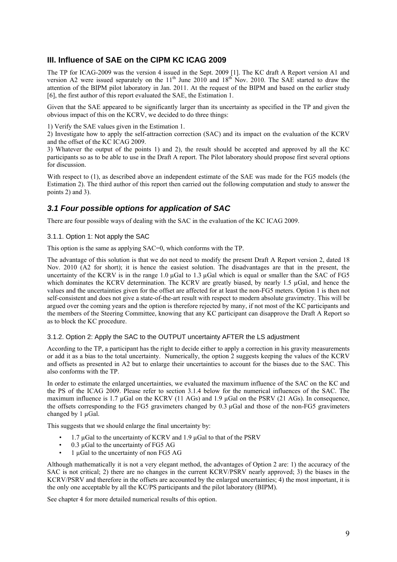## **III. Influence of SAE on the CIPM KC ICAG 2009**

The TP for ICAG-2009 was the version 4 issued in the Sept. 2009 [1]. The KC draft A Report version A1 and version A2 were issued separately on the  $11<sup>th</sup>$  June 2010 and  $18<sup>th</sup>$  Nov. 2010. The SAE started to draw the attention of the BIPM pilot laboratory in Jan. 2011. At the request of the BIPM and based on the earlier study [6], the first author of this report evaluated the SAE, the Estimation 1.

Given that the SAE appeared to be significantly larger than its uncertainty as specified in the TP and given the obvious impact of this on the KCRV, we decided to do three things:

1) Verify the SAE values given in the Estimation 1.

2) Investigate how to apply the self-attraction correction (SAC) and its impact on the evaluation of the KCRV and the offset of the KC ICAG 2009.

3) Whatever the output of the points 1) and 2), the result should be accepted and approved by all the KC participants so as to be able to use in the Draft A report. The Pilot laboratory should propose first several options for discussion.

With respect to (1), as described above an independent estimate of the SAE was made for the FG5 models (the Estimation 2). The third author of this report then carried out the following computation and study to answer the points 2) and 3).

## *3.1 Four possible options for application of SAC*

There are four possible ways of dealing with the SAC in the evaluation of the KC ICAG 2009.

3.1.1. Option 1: Not apply the SAC

This option is the same as applying SAC=0, which conforms with the TP.

The advantage of this solution is that we do not need to modify the present Draft A Report version 2, dated 18 Nov. 2010 (A2 for short); it is hence the easiest solution. The disadvantages are that in the present, the uncertainty of the KCRV is in the range 1.0 µGal to 1.3 µGal which is equal or smaller than the SAC of FG5 which dominates the KCRV determination. The KCRV are greatly biased, by nearly 1.5 µGal, and hence the values and the uncertainties given for the offset are affected for at least the non-FG5 meters. Option 1 is then not self-consistent and does not give a state-of-the-art result with respect to modern absolute gravimetry. This will be argued over the coming years and the option is therefore rejected by many, if not most of the KC participants and the members of the Steering Committee, knowing that any KC participant can disapprove the Draft A Report so as to block the KC procedure.

#### 3.1.2. Option 2: Apply the SAC to the OUTPUT uncertainty AFTER the LS adjustment

According to the TP, a participant has the right to decide either to apply a correction in his gravity measurements or add it as a bias to the total uncertainty. Numerically, the option 2 suggests keeping the values of the KCRV and offsets as presented in A2 but to enlarge their uncertainties to account for the biases due to the SAC. This also conforms with the TP.

In order to estimate the enlarged uncertainties, we evaluated the maximum influence of the SAC on the KC and the PS of the ICAG 2009. Please refer to section 3.1.4 below for the numerical influences of the SAC. The maximum influence is 1.7 µGal on the KCRV (11 AGs) and 1.9 µGal on the PSRV (21 AGs). In consequence, the offsets corresponding to the FG5 gravimeters changed by 0.3 µGal and those of the non-FG5 gravimeters changed by 1 uGal.

This suggests that we should enlarge the final uncertainty by:

- 1.7 µGal to the uncertainty of KCRV and 1.9 µGal to that of the PSRV
- $0.3 \mu$ Gal to the uncertainty of FG5 AG
- 1 µGal to the uncertainty of non FG5 AG

Although mathematically it is not a very elegant method, the advantages of Option 2 are: 1) the accuracy of the SAC is not critical; 2) there are no changes in the current KCRV/PSRV nearly approved; 3) the biases in the KCRV/PSRV and therefore in the offsets are accounted by the enlarged uncertainties; 4) the most important, it is the only one acceptable by all the KC/PS participants and the pilot laboratory (BIPM).

See chapter 4 for more detailed numerical results of this option.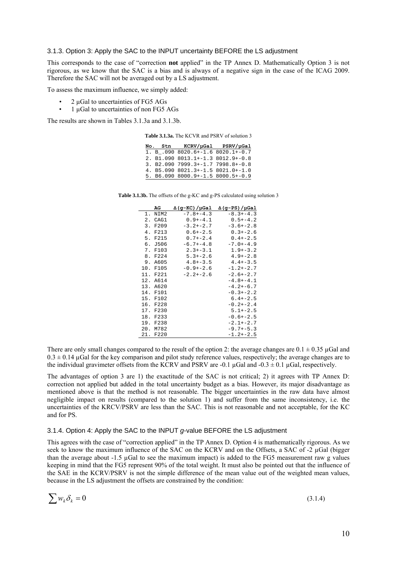#### 3.1.3. Option 3: Apply the SAC to the INPUT uncertainty BEFORE the LS adjustment

This corresponds to the case of "correction **not** applied" in the TP Annex D. Mathematically Option 3 is not rigorous, as we know that the SAC is a bias and is always of a negative sign in the case of the ICAG 2009. Therefore the SAC will not be averaged out by a LS adjustment.

To assess the maximum influence, we simply added:

- 2 uGal to uncertainties of FG5 AGs
- 1 uGal to uncertainties of non FG5 AGs

The results are shown in Tables 3.1.3a and 3.1.3b.

| <b>Table 3.1.3a.</b> The KCVR and PSRV of solution 3 |
|------------------------------------------------------|
|------------------------------------------------------|

|  | No. Stn KCRV/µGal PSRV/µGal       |  |
|--|-----------------------------------|--|
|  | 1. B .090 8020.6+-1.6 8020.1+-0.7 |  |
|  | 2. B1.090 8013.1+-1.3 8012.9+-0.8 |  |
|  | 3. B2.090 7999.3+-1.7 7998.8+-0.8 |  |
|  | 4. B5.090 8021.3+-1.5 8021.0+-1.0 |  |
|  | 5. B6.090 8000.9+-1.5 8000.5+-0.9 |  |
|  |                                   |  |

**Table 3.1.3b.** The offsets of the g-KC and g-PS calculated using solution 3

| AG          | Δ(g-KC)/µGal  | $\Delta$ (q-PS)/µGal |
|-------------|---------------|----------------------|
| NIM2<br>1.  | $-7.8+-4.3$   | $-8.3+-4.3$          |
| 2. CAG1     | $0.9 + -4.1$  | $0.5 + -4.2$         |
| F209<br>3.  | $-3.2+-2.7$   | $-3.6+-2.8$          |
| 4.<br>F213  | $0.6+-2.5$    | $0.3 + -2.6$         |
| F215<br>5.  | $0.7 + -2.4$  | $0.4+-2.5$           |
| б.<br>J506  | $-6.7 + -4.8$ | $-7.0 + -4.9$        |
| 7.<br>F103  | $2.3 + -3.1$  | $1.9+-3.2$           |
| 8. F224     | $5.3 + -2.6$  | $4.9+-2.8$           |
| A605<br>9.  | $4.8 + -3.5$  | $4.4+-3.5$           |
| 10.<br>F105 | $-0.9+-2.6$   | $-1.2+-2.7$          |
| 11. F221    | $-2.2+-2.6$   | $-2.6+-2.7$          |
| 12. A614    |               | $-4.8 + -4.1$        |
| 13. A620    |               | $-4.2+-6.7$          |
| 14. F101    |               | $-0.3+-2.2$          |
| 15.<br>F102 |               | $6.4 + -2.5$         |
| 16.<br>F228 |               | $-0.2+-2.4$          |
| 17. F230    |               | $5.1+-2.5$           |
| F233<br>18. |               | $-0.6+-2.5$          |
| 19. F238    |               | $-2.1+-2.7$          |
| 20. M782    |               | $-9.7+-5.3$          |
| 21. F220    |               | $-1.2+-2.5$          |

There are only small changes compared to the result of the option 2: the average changes are  $0.1 \pm 0.35 \,\mu$ Gal and  $0.3 \pm 0.14$  µGal for the key comparison and pilot study reference values, respectively; the average changes are to the individual gravimeter offsets from the KCRV and PSRV are -0.1 µGal and -0.3  $\pm$  0.1 µGal, respectively.

The advantages of option 3 are 1) the exactitude of the SAC is not critical; 2) it agrees with TP Annex D: correction not applied but added in the total uncertainty budget as a bias. However, its major disadvantage as mentioned above is that the method is not reasonable. The bigger uncertainties in the raw data have almost negligible impact on results (compared to the solution 1) and suffer from the same inconsistency, i.e. the uncertainties of the KRCV/PSRV are less than the SAC. This is not reasonable and not acceptable, for the KC and for PS.

#### 3.1.4. Option 4: Apply the SAC to the INPUT *g*-value BEFORE the LS adjustment

This agrees with the case of "correction applied" in the TP Annex D. Option 4 is mathematically rigorous. As we seek to know the maximum influence of the SAC on the KCRV and on the Offsets, a SAC of -2 uGal (bigger than the average about -1.5 µGal to see the maximum impact) is added to the FG5 measurement raw g values keeping in mind that the FG5 represent 90% of the total weight. It must also be pointed out that the influence of the SAE in the KCRV/PSRV is not the simple difference of the mean value out of the weighted mean values, because in the LS adjustment the offsets are constrained by the condition:

$$
\sum w_k \delta_k = 0 \tag{3.1.4}
$$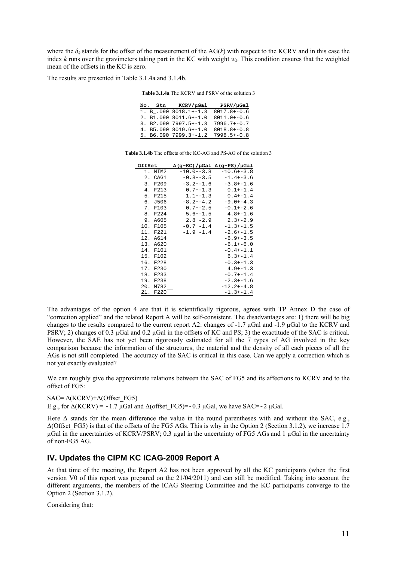where the  $\delta_k$  stands for the offset of the measurement of the AG( $k$ ) with respect to the KCRV and in this case the index  $k$  runs over the gravimeters taking part in the KC with weight  $w_k$ . This condition ensures that the weighted mean of the offsets in the KC is zero.

The results are presented in Table 3.1.4a and 3.1.4b.

**Table 3.1.4a** The KCRV and PSRV of the solution 3

|  | No. Stn KCRV/µGal                 | PSRV/uGal     |
|--|-----------------------------------|---------------|
|  | $1. B .090 8018.1+-1.3$           | 8017.8+-0.6   |
|  | 2. B1.090 8011.6+-1.0             | $8011.0+-0.6$ |
|  | $3. B2.090 7997.5+-1.3$           | $7996.7+-0.7$ |
|  | 4. B5.090 8019.6+-1.0 8018.8+-0.8 |               |
|  | 5. B6.090 7999.3+-1.2 7998.5+-0.8 |               |

| <b>Table 3.1.4b</b> The offsets of the KC-AG and PS-AG of the solution 3 |
|--------------------------------------------------------------------------|
|--------------------------------------------------------------------------|

| OffSet      |               | $\Delta$ (g-KC)/µGal $\Delta$ (g-PS)/µGal |
|-------------|---------------|-------------------------------------------|
| 1.<br>NIM2  | $-10.0+-3.8$  | $-10.6+-3.8$                              |
| 2. CAG1     | $-0.8 + -3.5$ | $-1.4+-3.6$                               |
| 3. F209     | $-3.2 + -1.6$ | $-3.8 + -1.6$                             |
| 4. F213     | $0.7 + -1.3$  | $0.1+-1.4$                                |
| 5. F215     | $1.1+-1.3$    | $0.4 + -1.4$                              |
| $6.$ J506   | $-8.2+-4.2$   | $-9.0 + -4.3$                             |
| 7. F103     | $0.7 - 2.5$   | $-0.1+-2.6$                               |
| 8. F224     | $5.6 + -1.5$  | $4.8 + -1.6$                              |
| A605<br>9.  | $2.8 + -2.9$  | $2.3 + -2.9$                              |
| 10. F105    | $-0.7 - 1.4$  | $-1.3 + -1.5$                             |
| 11. F221    | $-1.9+-1.4$   | $-2.6+-1.5$                               |
| 12. A614    |               | $-6.9+-3.5$                               |
| 13. A620    |               | $-6.1+-6.0$                               |
| 14. F101    |               | $-0.4+-1.1$                               |
| F102<br>15. |               | $6.3 + -1.4$                              |
| F228<br>16. |               | $-0.3 + -1.3$                             |
| 17.<br>F230 |               | $4.9 + -1.3$                              |
| F233<br>18. |               | $-0.7 + -1.4$                             |
| F238<br>19. |               | $-2.3 + -1.6$                             |
| 20.<br>M782 |               | $-12.2+-4.8$                              |
| 21. F220    |               | $-1.3+-1.4$                               |

The advantages of the option 4 are that it is scientifically rigorous, agrees with TP Annex D the case of "correction applied" and the related Report A will be self-consistent. The disadvantages are: 1) there will be big changes to the results compared to the current report A2: changes of -1.7 µGal and -1.9 µGal to the KCRV and PSRV; 2) changes of 0.3  $\mu$ Gal and 0.2  $\mu$ Gal in the offsets of KC and PS; 3) the exactitude of the SAC is critical. However, the SAE has not yet been rigorously estimated for all the 7 types of AG involved in the key comparison because the information of the structures, the material and the density of all each pieces of all the AGs is not still completed. The accuracy of the SAC is critical in this case. Can we apply a correction which is not yet exactly evaluated?

We can roughly give the approximate relations between the SAC of FG5 and its affections to KCRV and to the offset of FG5:

SAC=  $\Delta$ (KCRV)+ $\Delta$ (Offset FG5)

E.g., for  $\Delta (KCRV) = -1.7 \mu Gal$  and  $\Delta (offset \ FG5) = -0.3 \mu Gal$ , we have SAC=-2  $\mu Gal$ .

Here  $\Delta$  stands for the mean difference the value in the round parentheses with and without the SAC, e.g.,  $\Delta$ (Offset FG5) is that of the offsets of the FG5 AGs. This is why in the Option 2 (Section 3.1.2), we increase 1.7 µGal in the uncertainties of KCRV/PSRV; 0.3 µgal in the uncertainty of FG5 AGs and 1 µGal in the uncertainty of non-FG5 AG.

### **IV. Updates the CIPM KC ICAG-2009 Report A**

At that time of the meeting, the Report A2 has not been approved by all the KC participants (when the first version V0 of this report was prepared on the 21/04/2011) and can still be modified. Taking into account the different arguments, the members of the ICAG Steering Committee and the KC participants converge to the Option 2 (Section 3.1.2).

Considering that: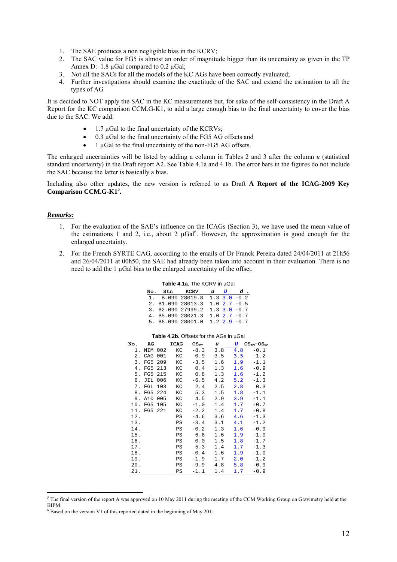- 1. The SAE produces a non negligible bias in the KCRV;
- 2. The SAC value for FG5 is almost an order of magnitude bigger than its uncertainty as given in the TP Annex D: 1.8  $\mu$ Gal compared to 0.2  $\mu$ Gal;
- 3. Not all the SACs for all the models of the KC AGs have been correctly evaluated;
- 4. Further investigations should examine the exactitude of the SAC and extend the estimation to all the types of AG

It is decided to NOT apply the SAC in the KC measurements but, for sake of the self-consistency in the Draft A Report for the KC comparison CCM.G-K1, to add a large enough bias to the final uncertainty to cover the bias due to the SAC. We add:

- $\bullet$  1.7 µGal to the final uncertainty of the KCRVs;
- 0.3 µGal to the final uncertainty of the FG5 AG offsets and
- 1 µGal to the final uncertainty of the non-FG5 AG offsets.

The enlarged uncertainties will be listed by adding a column in Tables 2 and 3 after the column  $u$  (statistical standard uncertainty) in the Draft report A2. See Table 4.1a and 4.1b. The error bars in the figures do not include the SAC because the latter is basically a bias.

Including also other updates, the new version is referred to as Draft **A Report of the ICAG-2009 Key Comparison CCM.G-K15 .** 

#### *Remarks:*

- 1. For the evaluation of the SAE's influence on the ICAGs (Section 3), we have used the mean value of the estimations 1 and 2, i.e., about 2  $\mu$ Gal<sup>6</sup>. However, the approximation is good enough for the enlarged uncertainty.
- 2. For the French SYRTE CAG, according to the emails of Dr Franck Pereira dated 24/04/2011 at 21h56 and 26/04/2011 at 00h50, the SAE had already been taken into account in their evaluation. There is no need to add the 1 µGal bias to the enlarged uncertainty of the offset.

| $1$ and $4.1a$ . The NUNV III poar |  |                                    |  |  |  |  |  |  |
|------------------------------------|--|------------------------------------|--|--|--|--|--|--|
|                                    |  | No. Stn KCRV u U d.                |  |  |  |  |  |  |
|                                    |  | 1. B.090 28019.8 $1.3$ 3.0 $-0.2$  |  |  |  |  |  |  |
|                                    |  | 2. B1.090 28013.3 1.0 2.7 $-0.5$   |  |  |  |  |  |  |
|                                    |  | 3. B2.090 27999.2 $1.3$ 3.0 $-0.7$ |  |  |  |  |  |  |
|                                    |  | 4. B5.090 28021.3 1.0 2.7 $-0.7$   |  |  |  |  |  |  |
|                                    |  | 5. B6.090 28001.0 1.2 2.9 -0.7     |  |  |  |  |  |  |

**Table 4.1a.** The KCRV in µGal

| No. | AG  |     | <b>ICAG</b> | OS <sub>KC</sub> | u   | U   | $OS_{RG}$ - $OS_{KC}$ |
|-----|-----|-----|-------------|------------------|-----|-----|-----------------------|
| 1.  | NIM | 002 | КC          | $-8.3$           | 3.8 | 4.8 | $-0.1$                |
| 2.  | CAG | 001 | КC          | 0.9              | 3.5 | 3.5 | $-1.2$                |
| 3.  | FG5 | 209 | КC          | $-3.5$           | 1.6 | 1.9 | $-1.1$                |
| 4.  | FG5 | 213 | КC          | 0.4              | 1.3 | 1.6 | $-0.9$                |
| 5.  | FG5 | 215 | КC          | 0.8              | 1.3 | 1.6 | $-1.2$                |
| б.  | JIL | 006 | КC          | $-6.5$           | 4.2 | 5.2 | $-1.3$                |
| 7.  | FGL | 103 | КC          | 2.4              | 2.5 | 2.8 | 0.3                   |
| 8.  | FG5 | 224 | КC          | 5.3              | 1.5 | 1.8 | $-1.1$                |
| 9.  | A10 | 005 | КC          | 4.5              | 2.9 | 3.9 | $-1.1$                |
| 10. | FG5 | 105 | КC          | $-1.0$           | 1.4 | 1.7 | $-0.7$                |
| 11. | FG5 | 221 | КC          | $-2.2$           | 1.4 | 1.7 | $-0.8$                |
| 12. |     |     | PS          | $-4.6$           | 3.6 | 4.6 | $-1.3$                |
| 13. |     |     | PS          | $-3.4$           | 3.1 | 4.1 | $-1.2$                |
| 14. |     |     | PS          | $-0.2$           | 1.3 | 1.6 | $-0.9$                |
| 15. |     |     | PS          | 6.6              | 1.6 | 1.9 | $-1.0$                |
| 16. |     |     | PS          | 0.0              | 1.5 | 1.8 | $-1.7$                |
| 17. |     |     | PS          | 5.3              | 1.4 | 1.7 | $-1.3$                |
| 18. |     |     | PS          | $-0.4$           | 1.6 | 1.9 | $-1.0$                |
| 19. |     |     | PS          | $-1.9$           | 1.7 | 2.0 | $-1.2$                |
| 20. |     |     | PS          | $-9.9$           | 4.8 | 5.8 | $-0.9$                |
| 21. |     |     | PS          | $-1.1$           | 1.4 | 1.7 | $-0.9$                |

#### **Table 4.2b.** Offsets for the AGs in µGal

<sup>&</sup>lt;u>.</u>  $5$  The final version of the report A was approved on 10 May 2011 during the meeting of the CCM Working Group on Gravimetry held at the BIPM.

<sup>&</sup>lt;sup>6</sup> Based on the version V1 of this reported dated in the beginning of May 2011